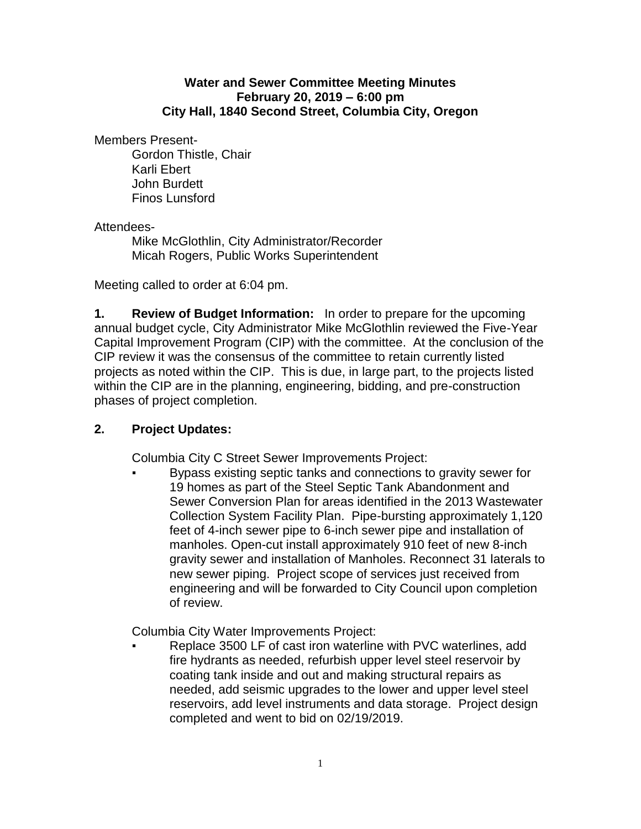## **Water and Sewer Committee Meeting Minutes February 20, 2019 – 6:00 pm City Hall, 1840 Second Street, Columbia City, Oregon**

Members Present-

Gordon Thistle, Chair Karli Ebert John Burdett Finos Lunsford

## Attendees-

Mike McGlothlin, City Administrator/Recorder Micah Rogers, Public Works Superintendent

Meeting called to order at 6:04 pm.

**1. Review of Budget Information:** In order to prepare for the upcoming annual budget cycle, City Administrator Mike McGlothlin reviewed the Five-Year Capital Improvement Program (CIP) with the committee. At the conclusion of the CIP review it was the consensus of the committee to retain currently listed projects as noted within the CIP. This is due, in large part, to the projects listed within the CIP are in the planning, engineering, bidding, and pre-construction phases of project completion.

## **2. Project Updates:**

Columbia City C Street Sewer Improvements Project:

Bypass existing septic tanks and connections to gravity sewer for 19 homes as part of the Steel Septic Tank Abandonment and Sewer Conversion Plan for areas identified in the 2013 Wastewater Collection System Facility Plan. Pipe-bursting approximately 1,120 feet of 4-inch sewer pipe to 6-inch sewer pipe and installation of manholes. Open-cut install approximately 910 feet of new 8-inch gravity sewer and installation of Manholes. Reconnect 31 laterals to new sewer piping. Project scope of services just received from engineering and will be forwarded to City Council upon completion of review.

Columbia City Water Improvements Project:

Replace 3500 LF of cast iron waterline with PVC waterlines, add fire hydrants as needed, refurbish upper level steel reservoir by coating tank inside and out and making structural repairs as needed, add seismic upgrades to the lower and upper level steel reservoirs, add level instruments and data storage. Project design completed and went to bid on 02/19/2019.